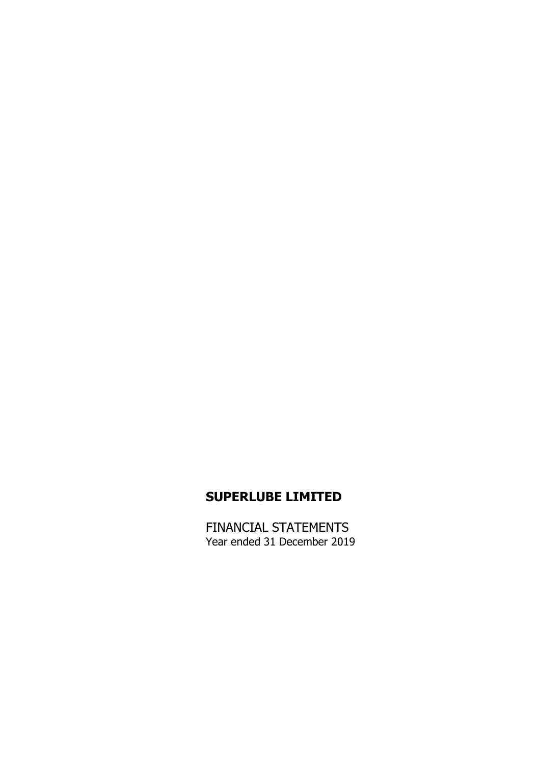FINANCIAL STATEMENTS Year ended 31 December 2019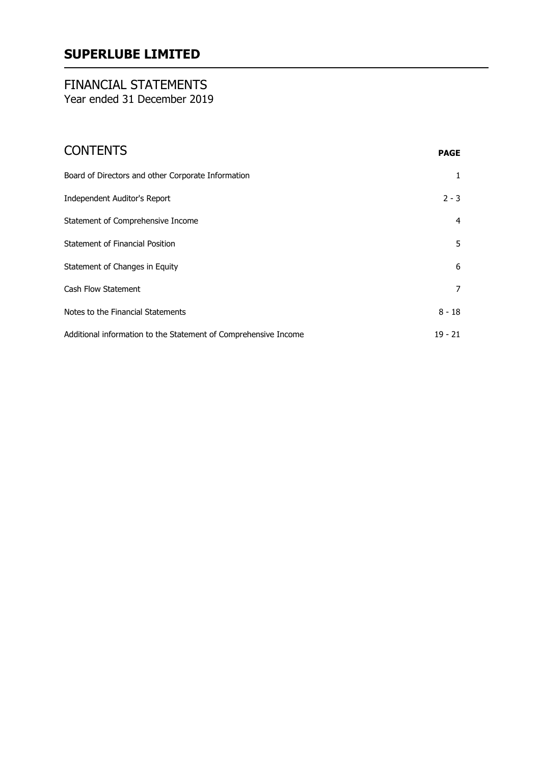# FINANCIAL STATEMENTS

Year ended 31 December 2019

## **CONTENTS**

| v. |
|----|
|----|

| Board of Directors and other Corporate Information              |          |
|-----------------------------------------------------------------|----------|
| Independent Auditor's Report                                    | $2 - 3$  |
| Statement of Comprehensive Income                               | 4        |
| Statement of Financial Position                                 | 5.       |
| Statement of Changes in Equity                                  | 6        |
| Cash Flow Statement                                             | 7        |
| Notes to the Financial Statements                               | $8 - 18$ |
| Additional information to the Statement of Comprehensive Income | 19 - 21  |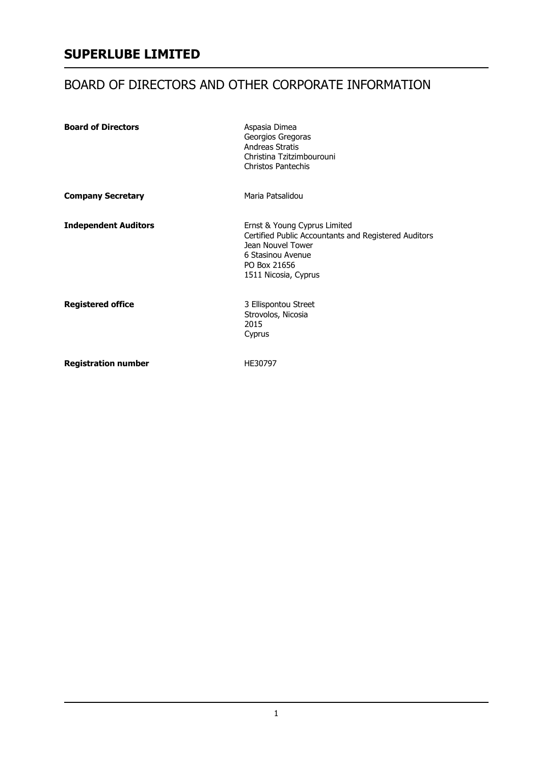## BOARD OF DIRECTORS AND OTHER CORPORATE INFORMATION

| <b>Board of Directors</b>   | Aspasia Dimea<br>Georgios Gregoras<br><b>Andreas Stratis</b><br>Christina Tzitzimbourouni<br>Christos Pantechis                                                        |
|-----------------------------|------------------------------------------------------------------------------------------------------------------------------------------------------------------------|
| <b>Company Secretary</b>    | Maria Patsalidou                                                                                                                                                       |
| <b>Independent Auditors</b> | Ernst & Young Cyprus Limited<br>Certified Public Accountants and Registered Auditors<br>Jean Nouvel Tower<br>6 Stasinou Avenue<br>PO Box 21656<br>1511 Nicosia, Cyprus |
| <b>Registered office</b>    | 3 Ellispontou Street<br>Strovolos, Nicosia<br>2015<br>Cyprus                                                                                                           |
| <b>Registration number</b>  | HE30797                                                                                                                                                                |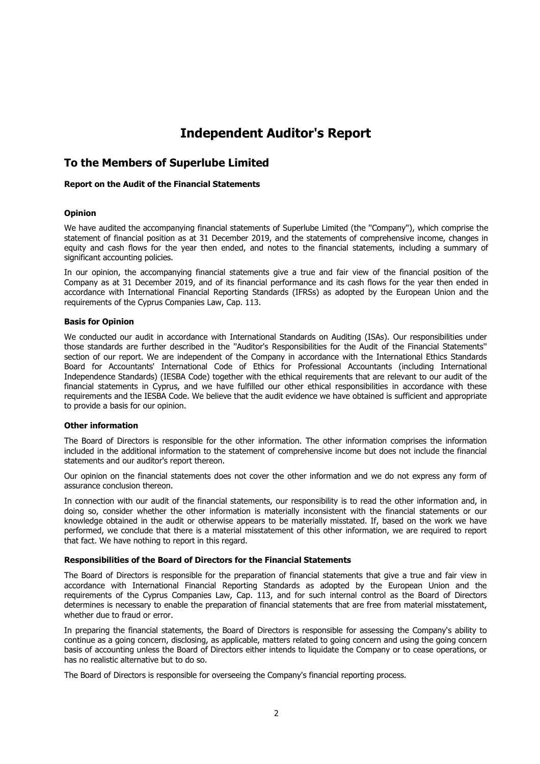## **Independent Auditor's Report**

### **To the Members of Superlube Limited**

#### **Report on the Audit of the Financial Statements**

#### **Opinion**

We have audited the accompanying financial statements of Superlube Limited (the ''Company''), which comprise the statement of financial position as at 31 December 2019, and the statements of comprehensive income, changes in equity and cash flows for the year then ended, and notes to the financial statements, including a summary of significant accounting policies.

In our opinion, the accompanying financial statements give a true and fair view of the financial position of the Company as at 31 December 2019, and of its financial performance and its cash flows for the year then ended in accordance with International Financial Reporting Standards (IFRSs) as adopted by the European Union and the requirements of the Cyprus Companies Law, Cap. 113.

#### **Basis for Opinion**

We conducted our audit in accordance with International Standards on Auditing (ISAs). Our responsibilities under those standards are further described in the ''Auditor's Responsibilities for the Audit of the Financial Statements'' section of our report. We are independent of the Company in accordance with the International Ethics Standards Board for Accountants' International Code of Ethics for Professional Accountants (including International Independence Standards) (IESBA Code) together with the ethical requirements that are relevant to our audit of the financial statements in Cyprus, and we have fulfilled our other ethical responsibilities in accordance with these requirements and the IESBA Code. We believe that the audit evidence we have obtained is sufficient and appropriate to provide a basis for our opinion.

#### **Other information**

The Board of Directors is responsible for the other information. The other information comprises the information included in the additional information to the statement of comprehensive income but does not include the financial statements and our auditor's report thereon.

Our opinion on the financial statements does not cover the other information and we do not express any form of assurance conclusion thereon.

In connection with our audit of the financial statements, our responsibility is to read the other information and, in doing so, consider whether the other information is materially inconsistent with the financial statements or our knowledge obtained in the audit or otherwise appears to be materially misstated. If, based on the work we have performed, we conclude that there is a material misstatement of this other information, we are required to report that fact. We have nothing to report in this regard.

#### **Responsibilities of the Board of Directors for the Financial Statements**

The Board of Directors is responsible for the preparation of financial statements that give a true and fair view in accordance with International Financial Reporting Standards as adopted by the European Union and the requirements of the Cyprus Companies Law, Cap. 113, and for such internal control as the Board of Directors determines is necessary to enable the preparation of financial statements that are free from material misstatement, whether due to fraud or error.

In preparing the financial statements, the Board of Directors is responsible for assessing the Company's ability to continue as a going concern, disclosing, as applicable, matters related to going concern and using the going concern basis of accounting unless the Board of Directors either intends to liquidate the Company or to cease operations, or has no realistic alternative but to do so.

The Board of Directors is responsible for overseeing the Company's financial reporting process.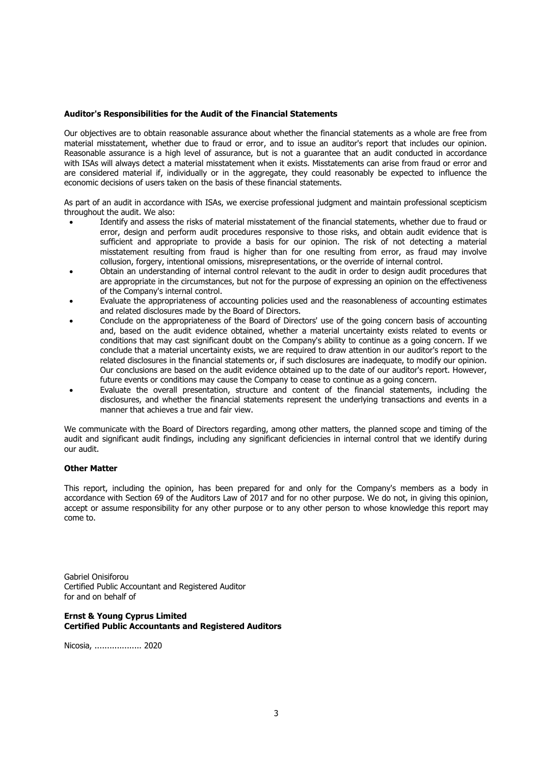#### **Auditor's Responsibilities for the Audit of the Financial Statements**

Our objectives are to obtain reasonable assurance about whether the financial statements as a whole are free from material misstatement, whether due to fraud or error, and to issue an auditor's report that includes our opinion. Reasonable assurance is a high level of assurance, but is not a guarantee that an audit conducted in accordance with ISAs will always detect a material misstatement when it exists. Misstatements can arise from fraud or error and are considered material if, individually or in the aggregate, they could reasonably be expected to influence the economic decisions of users taken on the basis of these financial statements.

As part of an audit in accordance with ISAs, we exercise professional judgment and maintain professional scepticism throughout the audit. We also:

- Identify and assess the risks of material misstatement of the financial statements, whether due to fraud or error, design and perform audit procedures responsive to those risks, and obtain audit evidence that is sufficient and appropriate to provide a basis for our opinion. The risk of not detecting a material misstatement resulting from fraud is higher than for one resulting from error, as fraud may involve collusion, forgery, intentional omissions, misrepresentations, or the override of internal control.
- Obtain an understanding of internal control relevant to the audit in order to design audit procedures that are appropriate in the circumstances, but not for the purpose of expressing an opinion on the effectiveness of the Company's internal control.
- Evaluate the appropriateness of accounting policies used and the reasonableness of accounting estimates and related disclosures made by the Board of Directors.
- Conclude on the appropriateness of the Board of Directors' use of the going concern basis of accounting and, based on the audit evidence obtained, whether a material uncertainty exists related to events or conditions that may cast significant doubt on the Company's ability to continue as a going concern. If we conclude that a material uncertainty exists, we are required to draw attention in our auditor's report to the related disclosures in the financial statements or, if such disclosures are inadequate, to modify our opinion. Our conclusions are based on the audit evidence obtained up to the date of our auditor's report. However, future events or conditions may cause the Company to cease to continue as a going concern.
- Evaluate the overall presentation, structure and content of the financial statements, including the disclosures, and whether the financial statements represent the underlying transactions and events in a manner that achieves a true and fair view.

We communicate with the Board of Directors regarding, among other matters, the planned scope and timing of the audit and significant audit findings, including any significant deficiencies in internal control that we identify during our audit.

#### **Other Matter**

This report, including the opinion, has been prepared for and only for the Company's members as a body in accordance with Section 69 of the Auditors Law of 2017 and for no other purpose. We do not, in giving this opinion, accept or assume responsibility for any other purpose or to any other person to whose knowledge this report may come to.

Gabriel Onisiforou Certified Public Accountant and Registered Auditor for and on behalf of

**Ernst & Young Cyprus Limited Certified Public Accountants and Registered Auditors**

Nicosia, ................... 2020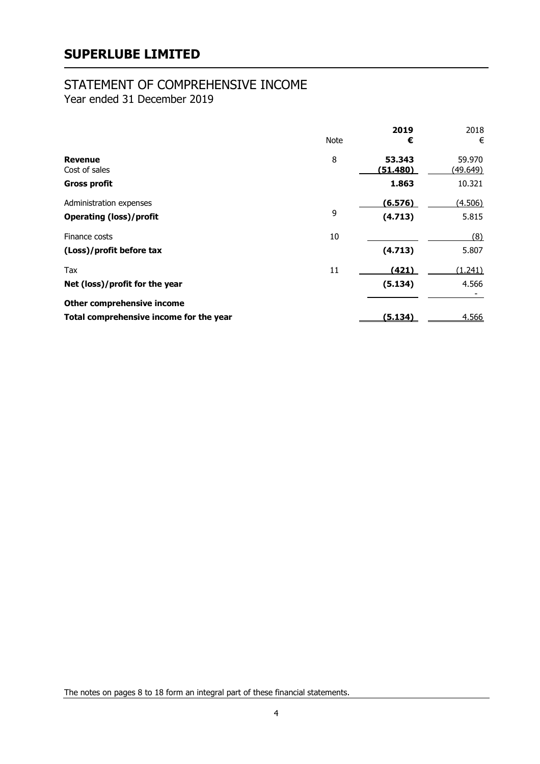## STATEMENT OF COMPREHENSIVE INCOME

Year ended 31 December 2019

|                                         | <b>Note</b> | 2019<br>€          | 2018<br>€          |
|-----------------------------------------|-------------|--------------------|--------------------|
| <b>Revenue</b><br>Cost of sales         | 8           | 53,343<br>(51.480) | 59,970<br>(49.649) |
| <b>Gross profit</b>                     |             | 1.863              | 10.321             |
| Administration expenses                 |             | (6.576)            | (4.506)            |
| <b>Operating (loss)/profit</b>          | 9           | (4.713)            | 5.815              |
| Finance costs                           | 10          |                    | (8)                |
| (Loss)/profit before tax                |             | (4.713)            | 5.807              |
| Tax                                     | 11          | (421)              | (1.241)            |
| Net (loss)/profit for the year          |             | (5.134)            | 4.566              |
| Other comprehensive income              |             |                    |                    |
| Total comprehensive income for the year |             | (5.134)            | 4.566              |

The notes on pages 8 to 18 form an integral part of these financial statements.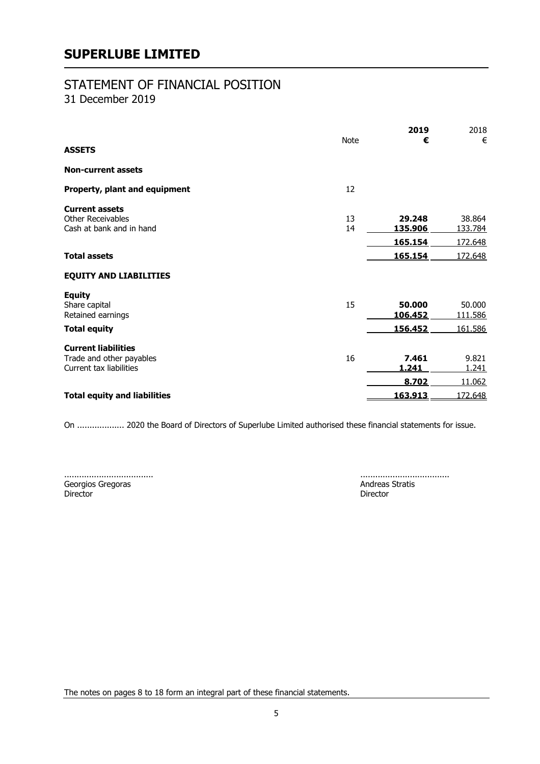### STATEMENT OF FINANCIAL POSITION 31 December 2019

|                                     |             | 2019    | 2018    |
|-------------------------------------|-------------|---------|---------|
|                                     | <b>Note</b> | €       | €       |
| <b>ASSETS</b>                       |             |         |         |
| <b>Non-current assets</b>           |             |         |         |
| Property, plant and equipment       | 12          |         |         |
| <b>Current assets</b>               |             |         |         |
| <b>Other Receivables</b>            | 13          | 29.248  | 38.864  |
| Cash at bank and in hand            | 14          | 135.906 | 133.784 |
|                                     |             | 165.154 | 172.648 |
| <b>Total assets</b>                 |             | 165.154 | 172.648 |
| <b>EQUITY AND LIABILITIES</b>       |             |         |         |
| <b>Equity</b>                       |             |         |         |
| Share capital                       | 15          | 50.000  | 50,000  |
| Retained earnings                   |             | 106.452 | 111.586 |
| <b>Total equity</b>                 |             | 156.452 | 161.586 |
| <b>Current liabilities</b>          |             |         |         |
| Trade and other payables            | 16          | 7.461   | 9.821   |
| Current tax liabilities             |             | 1.241   | 1.241   |
|                                     |             | 8.702   | 11.062  |
| <b>Total equity and liabilities</b> |             | 163.913 | 172.648 |
|                                     |             |         |         |

On ................... 2020 the Board of Directors of Superlube Limited authorised these financial statements for issue.

....................................

Georgios Gregoras<br>Director Director Director

.................................... Andreas Stratis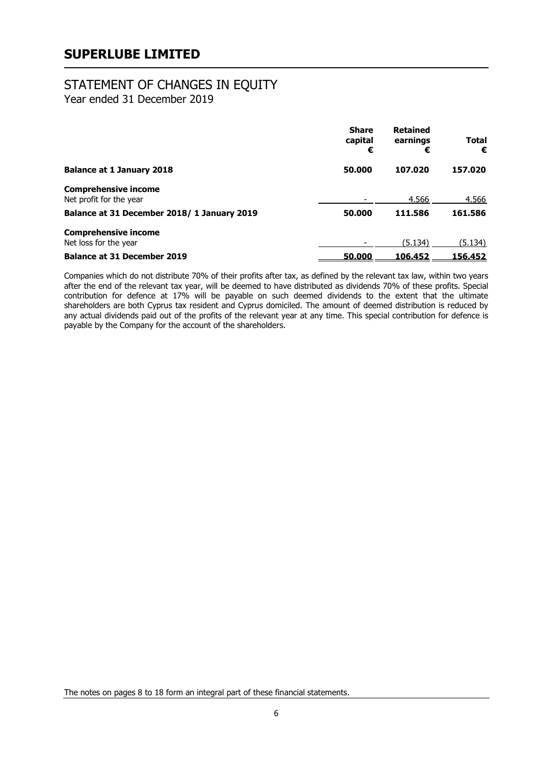## STATEMENT OF CHANGES IN EQUITY

Year ended 31 December 2019

|                                                        | <b>Share</b><br>capital<br>€ | <b>Retained</b><br>earnings<br>€ | <b>Total</b><br>€ |
|--------------------------------------------------------|------------------------------|----------------------------------|-------------------|
| <b>Balance at 1 January 2018</b>                       | 50.000                       | 107.020                          | 157.020           |
| <b>Comprehensive income</b><br>Net profit for the year |                              | 4.566                            | 4.566             |
| Balance at 31 December 2018/1 January 2019             | 50.000                       | 111.586                          | 161.586           |
| <b>Comprehensive income</b><br>Net loss for the year   |                              | (5.134)                          | (5.134)           |
| <b>Balance at 31 December 2019</b>                     | 50.000                       | 106.452                          | 156.452           |

Companies which do not distribute 70% of their profits after tax, as defined by the relevant tax law, within two years after the end of the relevant tax year, will be deemed to have distributed as dividends 70% of these profits. Special contribution for defence at 17% will be payable on such deemed dividends to the extent that the ultimate shareholders are both Cyprus tax resident and Cyprus domiciled. The amount of deemed distribution is reduced by any actual dividends paid out of the profits of the relevant year at any time. This special contribution for defence is payable by the Company for the account of the shareholders.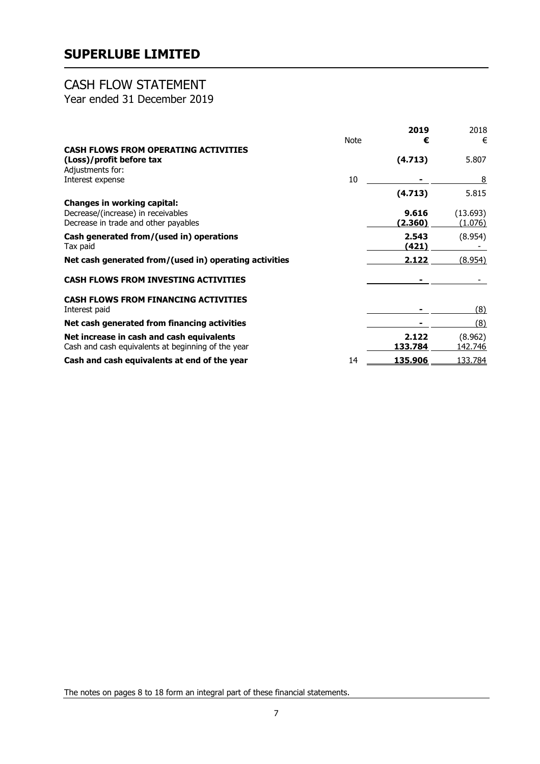### CASH FLOW STATEMENT

Year ended 31 December 2019

|                                                        |             | 2019           | 2018           |
|--------------------------------------------------------|-------------|----------------|----------------|
|                                                        | <b>Note</b> | €              | €              |
| <b>CASH FLOWS FROM OPERATING ACTIVITIES</b>            |             |                |                |
| (Loss)/profit before tax                               |             | (4.713)        | 5.807          |
| Adjustments for:                                       |             |                |                |
| Interest expense                                       | 10          |                | 8              |
|                                                        |             | (4.713)        | 5.815          |
| Changes in working capital:                            |             |                |                |
| Decrease/(increase) in receivables                     |             | 9.616          | (13.693)       |
| Decrease in trade and other payables                   |             | (2.360)        | (1.076)        |
| Cash generated from/(used in) operations               |             | 2.543          | (8.954)        |
| Tax paid                                               |             | (421)          |                |
| Net cash generated from/(used in) operating activities |             | 2.122          | <u>(8.954)</u> |
| <b>CASH FLOWS FROM INVESTING ACTIVITIES</b>            |             |                |                |
| <b>CASH FLOWS FROM FINANCING ACTIVITIES</b>            |             |                |                |
| Interest paid                                          |             |                | (8)            |
| Net cash generated from financing activities           |             |                | (8)            |
| Net increase in cash and cash equivalents              |             | 2.122          | (8.962)        |
| Cash and cash equivalents at beginning of the year     |             | 133.784        | 142.746        |
| Cash and cash equivalents at end of the year           | 14          | <u>135.906</u> | 133.784        |

The notes on pages 8 to 18 form an integral part of these financial statements.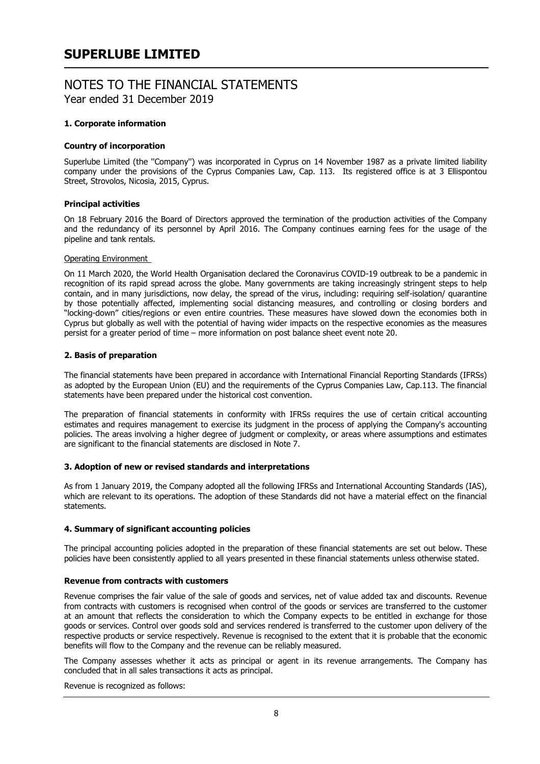### NOTES TO THE FINANCIAL STATEMENTS Year ended 31 December 2019

#### **1. Corporate information**

#### **Country of incorporation**

Superlube Limited (the ''Company'') was incorporated in Cyprus on 14 November 1987 as a private limited liability company under the provisions of the Cyprus Companies Law, Cap. 113. Its registered office is at 3 Ellispontou Street, Strovolos, Nicosia, 2015, Cyprus.

#### **Principal activities**

On 18 February 2016 the Board of Directors approved the termination of the production activities of the Company and the redundancy of its personnel by April 2016. The Company continues earning fees for the usage of the pipeline and tank rentals.

#### Operating Environment

On 11 March 2020, the World Health Organisation declared the Coronavirus COVID-19 outbreak to be a pandemic in recognition of its rapid spread across the globe. Many governments are taking increasingly stringent steps to help contain, and in many jurisdictions, now delay, the spread of the virus, including: requiring self-isolation/ quarantine by those potentially affected, implementing social distancing measures, and controlling or closing borders and "locking-down" cities/regions or even entire countries. These measures have slowed down the economies both in Cyprus but globally as well with the potential of having wider impacts on the respective economies as the measures persist for a greater period of time – more information on post balance sheet event note 20.

#### **2. Basis of preparation**

The financial statements have been prepared in accordance with International Financial Reporting Standards (IFRSs) as adopted by the European Union (EU) and the requirements of the Cyprus Companies Law, Cap.113. The financial statements have been prepared under the historical cost convention.

The preparation of financial statements in conformity with IFRSs requires the use of certain critical accounting estimates and requires management to exercise its judgment in the process of applying the Company's accounting policies. The areas involving a higher degree of judgment or complexity, or areas where assumptions and estimates are significant to the financial statements are disclosed in Note 7.

#### **3. Adoption of new or revised standards and interpretations**

As from 1 January 2019, the Company adopted all the following IFRSs and International Accounting Standards (IAS), which are relevant to its operations. The adoption of these Standards did not have a material effect on the financial statements.

#### **4. Summary of significant accounting policies**

The principal accounting policies adopted in the preparation of these financial statements are set out below. These policies have been consistently applied to all years presented in these financial statements unless otherwise stated.

#### **Revenue from contracts with customers**

Revenue comprises the fair value of the sale of goods and services, net of value added tax and discounts. Revenue from contracts with customers is recognised when control of the goods or services are transferred to the customer at an amount that reflects the consideration to which the Company expects to be entitled in exchange for those goods or services. Control over goods sold and services rendered is transferred to the customer upon delivery of the respective products or service respectively. Revenue is recognised to the extent that it is probable that the economic benefits will flow to the Company and the revenue can be reliably measured.

The Company assesses whether it acts as principal or agent in its revenue arrangements. The Company has concluded that in all sales transactions it acts as principal.

Revenue is recognized as follows: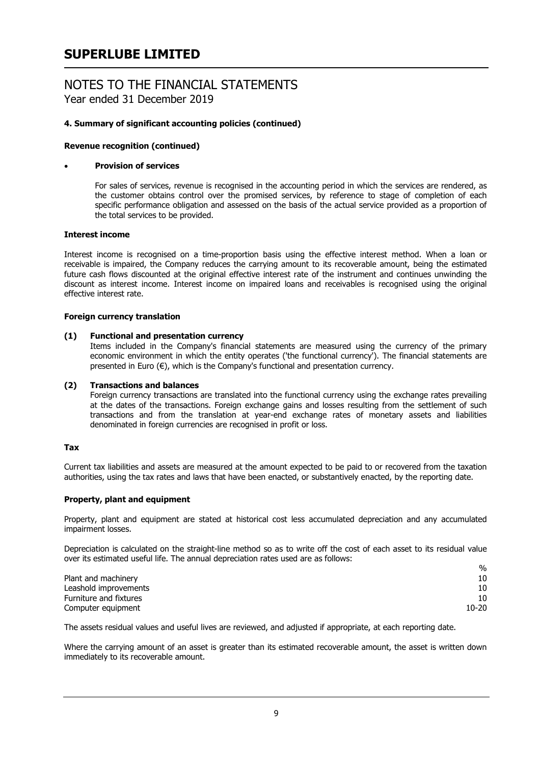### NOTES TO THE FINANCIAL STATEMENTS Year ended 31 December 2019

#### **4. Summary of significant accounting policies (continued)**

#### **Revenue recognition (continued)**

#### **Provision of services**

For sales of services, revenue is recognised in the accounting period in which the services are rendered, as the customer obtains control over the promised services, by reference to stage of completion of each specific performance obligation and assessed on the basis of the actual service provided as a proportion of the total services to be provided.

#### **Interest income**

Interest income is recognised on a time-proportion basis using the effective interest method. When a loan or receivable is impaired, the Company reduces the carrying amount to its recoverable amount, being the estimated future cash flows discounted at the original effective interest rate of the instrument and continues unwinding the discount as interest income. Interest income on impaired loans and receivables is recognised using the original effective interest rate.

#### **Foreign currency translation**

#### **(1) Functional and presentation currency**

Items included in the Company's financial statements are measured using the currency of the primary economic environment in which the entity operates ('the functional currency'). The financial statements are presented in Euro  $(\epsilon)$ , which is the Company's functional and presentation currency.

#### **(2) Transactions and balances**

Foreign currency transactions are translated into the functional currency using the exchange rates prevailing at the dates of the transactions. Foreign exchange gains and losses resulting from the settlement of such transactions and from the translation at year-end exchange rates of monetary assets and liabilities denominated in foreign currencies are recognised in profit or loss.

#### **Tax**

Current tax liabilities and assets are measured at the amount expected to be paid to or recovered from the taxation authorities, using the tax rates and laws that have been enacted, or substantively enacted, by the reporting date.

#### **Property, plant and equipment**

Property, plant and equipment are stated at historical cost less accumulated depreciation and any accumulated impairment losses.

Depreciation is calculated on the straight-line method so as to write off the cost of each asset to its residual value over its estimated useful life. The annual depreciation rates used are as follows:

|                        | $\frac{0}{0}$ |
|------------------------|---------------|
| Plant and machinery    | 10            |
| Leashold improvements  | 10            |
| Furniture and fixtures | 10            |
| Computer equipment     | $10 - 20$     |

The assets residual values and useful lives are reviewed, and adjusted if appropriate, at each reporting date.

Where the carrying amount of an asset is greater than its estimated recoverable amount, the asset is written down immediately to its recoverable amount.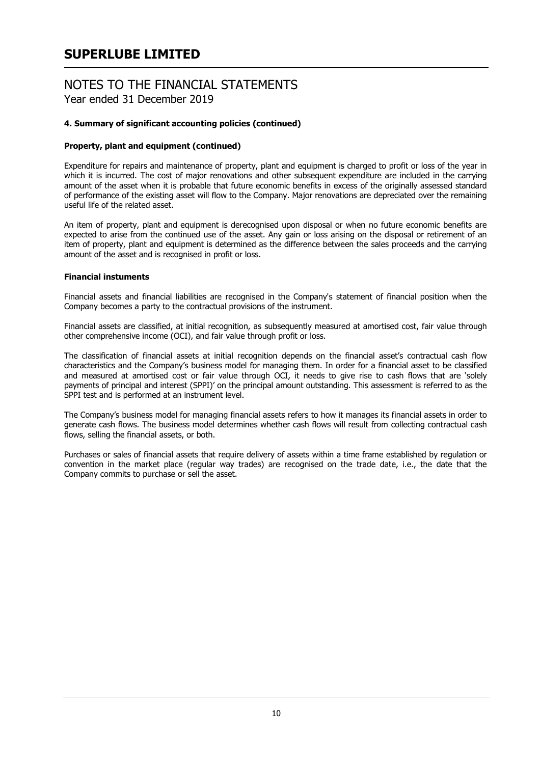### NOTES TO THE FINANCIAL STATEMENTS Year ended 31 December 2019

#### **4. Summary of significant accounting policies (continued)**

#### **Property, plant and equipment (continued)**

Expenditure for repairs and maintenance of property, plant and equipment is charged to profit or loss of the year in which it is incurred. The cost of major renovations and other subsequent expenditure are included in the carrying amount of the asset when it is probable that future economic benefits in excess of the originally assessed standard of performance of the existing asset will flow to the Company. Major renovations are depreciated over the remaining useful life of the related asset.

An item of property, plant and equipment is derecognised upon disposal or when no future economic benefits are expected to arise from the continued use of the asset. Any gain or loss arising on the disposal or retirement of an item of property, plant and equipment is determined as the difference between the sales proceeds and the carrying amount of the asset and is recognised in profit or loss.

#### **Financial instuments**

Financial assets and financial liabilities are recognised in the Company's statement of financial position when the Company becomes a party to the contractual provisions of the instrument.

Financial assets are classified, at initial recognition, as subsequently measured at amortised cost, fair value through other comprehensive income (OCI), and fair value through profit or loss.

The classification of financial assets at initial recognition depends on the financial asset's contractual cash flow characteristics and the Company's business model for managing them. In order for a financial asset to be classified and measured at amortised cost or fair value through OCI, it needs to give rise to cash flows that are 'solely payments of principal and interest (SPPI)' on the principal amount outstanding. This assessment is referred to as the SPPI test and is performed at an instrument level.

The Company's business model for managing financial assets refers to how it manages its financial assets in order to generate cash flows. The business model determines whether cash flows will result from collecting contractual cash flows, selling the financial assets, or both.

Purchases or sales of financial assets that require delivery of assets within a time frame established by regulation or convention in the market place (regular way trades) are recognised on the trade date, i.e., the date that the Company commits to purchase or sell the asset.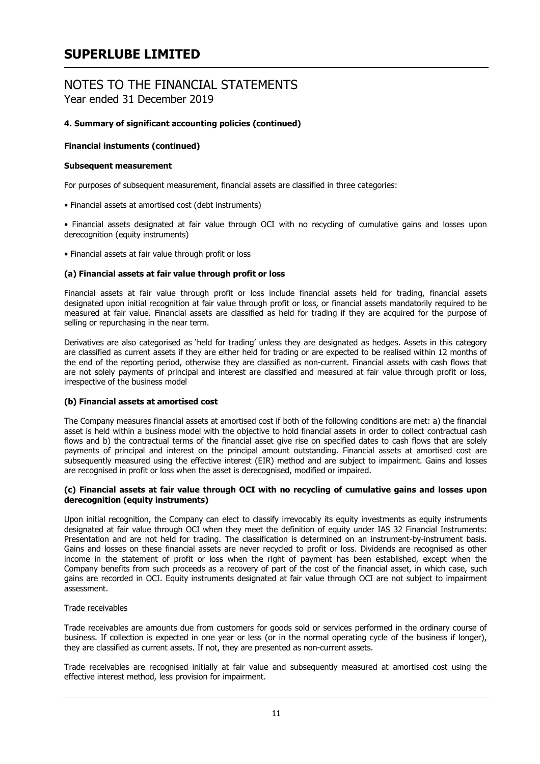### NOTES TO THE FINANCIAL STATEMENTS Year ended 31 December 2019

### **4. Summary of significant accounting policies (continued)**

#### **Financial instuments (continued)**

#### **Subsequent measurement**

For purposes of subsequent measurement, financial assets are classified in three categories:

• Financial assets at amortised cost (debt instruments)

• Financial assets designated at fair value through OCI with no recycling of cumulative gains and losses upon derecognition (equity instruments)

• Financial assets at fair value through profit or loss

#### **(a) Financial assets at fair value through profit or loss**

Financial assets at fair value through profit or loss include financial assets held for trading, financial assets designated upon initial recognition at fair value through profit or loss, or financial assets mandatorily required to be measured at fair value. Financial assets are classified as held for trading if they are acquired for the purpose of selling or repurchasing in the near term.

Derivatives are also categorised as 'held for trading' unless they are designated as hedges. Assets in this category are classified as current assets if they are either held for trading or are expected to be realised within 12 months of the end of the reporting period, otherwise they are classified as non-current. Financial assets with cash flows that are not solely payments of principal and interest are classified and measured at fair value through profit or loss, irrespective of the business model

#### **(b) Financial assets at amortised cost**

The Company measures financial assets at amortised cost if both of the following conditions are met: a) the financial asset is held within a business model with the objective to hold financial assets in order to collect contractual cash flows and b) the contractual terms of the financial asset give rise on specified dates to cash flows that are solely payments of principal and interest on the principal amount outstanding. Financial assets at amortised cost are subsequently measured using the effective interest (EIR) method and are subject to impairment. Gains and losses are recognised in profit or loss when the asset is derecognised, modified or impaired.

#### **(c) Financial assets at fair value through OCI with no recycling of cumulative gains and losses upon derecognition (equity instruments)**

Upon initial recognition, the Company can elect to classify irrevocably its equity investments as equity instruments designated at fair value through OCI when they meet the definition of equity under IAS 32 Financial Instruments: Presentation and are not held for trading. The classification is determined on an instrument-by-instrument basis. Gains and losses on these financial assets are never recycled to profit or loss. Dividends are recognised as other income in the statement of profit or loss when the right of payment has been established, except when the Company benefits from such proceeds as a recovery of part of the cost of the financial asset, in which case, such gains are recorded in OCI. Equity instruments designated at fair value through OCI are not subject to impairment assessment.

#### Trade receivables

Trade receivables are amounts due from customers for goods sold or services performed in the ordinary course of business. If collection is expected in one year or less (or in the normal operating cycle of the business if longer), they are classified as current assets. If not, they are presented as non-current assets.

Trade receivables are recognised initially at fair value and subsequently measured at amortised cost using the effective interest method, less provision for impairment.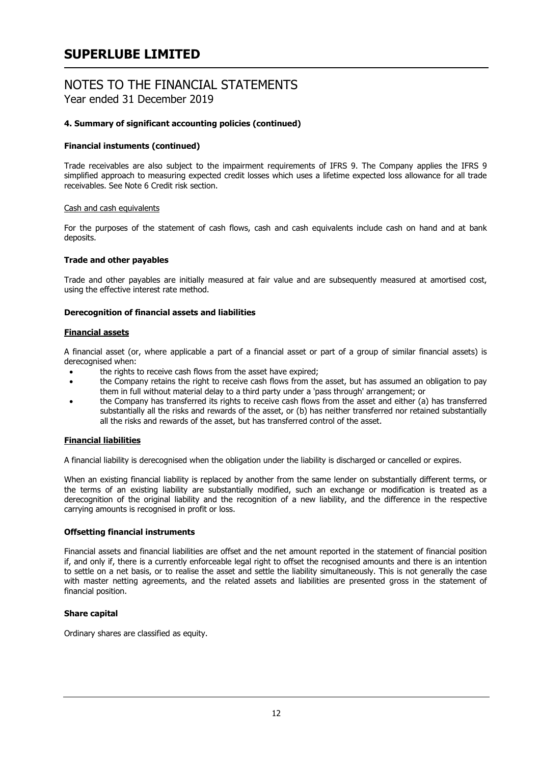### NOTES TO THE FINANCIAL STATEMENTS Year ended 31 December 2019

#### **4. Summary of significant accounting policies (continued)**

#### **Financial instuments (continued)**

Trade receivables are also subject to the impairment requirements of IFRS 9. The Company applies the IFRS 9 simplified approach to measuring expected credit losses which uses a lifetime expected loss allowance for all trade receivables. See Note 6 Credit risk section.

#### Cash and cash equivalents

For the purposes of the statement of cash flows, cash and cash equivalents include cash on hand and at bank deposits.

#### **Trade and other payables**

Trade and other payables are initially measured at fair value and are subsequently measured at amortised cost, using the effective interest rate method.

#### **Derecognition of financial assets and liabilities**

#### **Financial assets**

A financial asset (or, where applicable a part of a financial asset or part of a group of similar financial assets) is derecognised when:

- the rights to receive cash flows from the asset have expired;
- the Company retains the right to receive cash flows from the asset, but has assumed an obligation to pay them in full without material delay to a third party under a 'pass through' arrangement; or
- the Company has transferred its rights to receive cash flows from the asset and either (a) has transferred substantially all the risks and rewards of the asset, or (b) has neither transferred nor retained substantially all the risks and rewards of the asset, but has transferred control of the asset.

#### **Financial liabilities**

A financial liability is derecognised when the obligation under the liability is discharged or cancelled or expires.

When an existing financial liability is replaced by another from the same lender on substantially different terms, or the terms of an existing liability are substantially modified, such an exchange or modification is treated as a derecognition of the original liability and the recognition of a new liability, and the difference in the respective carrying amounts is recognised in profit or loss.

#### **Offsetting financial instruments**

Financial assets and financial liabilities are offset and the net amount reported in the statement of financial position if, and only if, there is a currently enforceable legal right to offset the recognised amounts and there is an intention to settle on a net basis, or to realise the asset and settle the liability simultaneously. This is not generally the case with master netting agreements, and the related assets and liabilities are presented gross in the statement of financial position.

#### **Share capital**

Ordinary shares are classified as equity.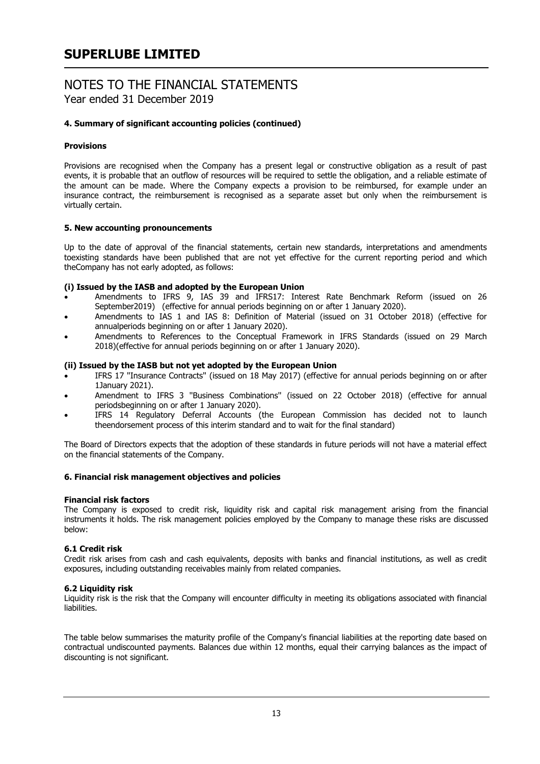### NOTES TO THE FINANCIAL STATEMENTS Year ended 31 December 2019

#### **4. Summary of significant accounting policies (continued)**

#### **Provisions**

Provisions are recognised when the Company has a present legal or constructive obligation as a result of past events, it is probable that an outflow of resources will be required to settle the obligation, and a reliable estimate of the amount can be made. Where the Company expects a provision to be reimbursed, for example under an insurance contract, the reimbursement is recognised as a separate asset but only when the reimbursement is virtually certain.

#### **5. New accounting pronouncements**

Up to the date of approval of the financial statements, certain new standards, interpretations and amendments toexisting standards have been published that are not yet effective for the current reporting period and which theCompany has not early adopted, as follows:

#### **(i) Issued by the IASB and adopted by the European Union**

- Amendments to IFRS 9, IAS 39 and IFRS17: Interest Rate Benchmark Reform (issued on 26 September2019) (effective for annual periods beginning on or after 1 January 2020).
- Amendments to IAS 1 and IAS 8: Definition of Material (issued on 31 October 2018) (effective for annualperiods beginning on or after 1 January 2020).
- Amendments to References to the Conceptual Framework in IFRS Standards (issued on 29 March 2018)(effective for annual periods beginning on or after 1 January 2020).

#### **(ii) Issued by the IASB but not yet adopted by the European Union**

- IFRS 17 ''Insurance Contracts'' (issued on 18 May 2017) (effective for annual periods beginning on or after 1January 2021).
- Amendment to IFRS 3 ''Business Combinations'' (issued on 22 October 2018) (effective for annual periodsbeginning on or after 1 January 2020).
- IFRS 14 Regulatory Deferral Accounts (the European Commission has decided not to launch theendorsement process of this interim standard and to wait for the final standard)

The Board of Directors expects that the adoption of these standards in future periods will not have a material effect on the financial statements of the Company.

#### **6. Financial risk management objectives and policies**

#### **Financial risk factors**

The Company is exposed to credit risk, liquidity risk and capital risk management arising from the financial instruments it holds. The risk management policies employed by the Company to manage these risks are discussed below:

#### **6.1 Credit risk**

Credit risk arises from cash and cash equivalents, deposits with banks and financial institutions, as well as credit exposures, including outstanding receivables mainly from related companies.

#### **6.2 Liquidity risk**

Liquidity risk is the risk that the Company will encounter difficulty in meeting its obligations associated with financial liabilities.

The table below summarises the maturity profile of the Company's financial liabilities at the reporting date based on contractual undiscounted payments. Balances due within 12 months, equal their carrying balances as the impact of discounting is not significant.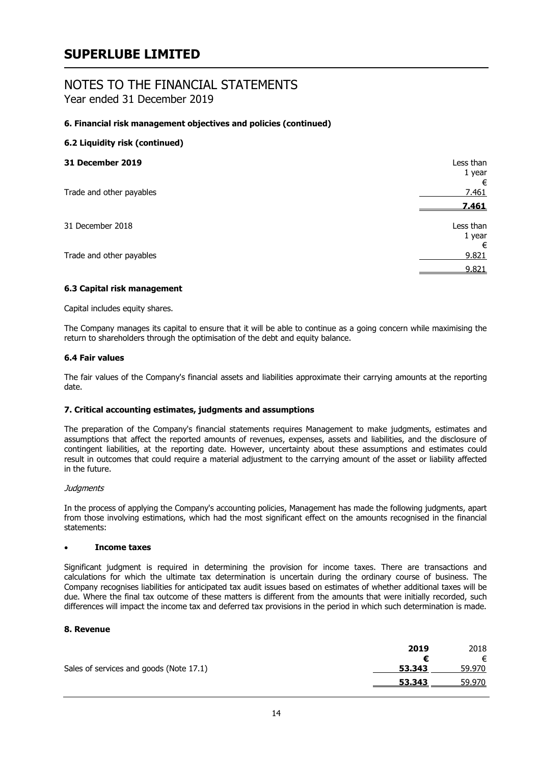### NOTES TO THE FINANCIAL STATEMENTS Year ended 31 December 2019

#### **6. Financial risk management objectives and policies (continued)**

#### **6.2 Liquidity risk (continued)**

| 31 December 2019         | Less than<br>1 year      |
|--------------------------|--------------------------|
| Trade and other payables | €<br>7.461               |
|                          | 7.461                    |
| 31 December 2018         | Less than<br>1 year<br>€ |
| Trade and other payables | 9.821                    |
|                          | 9.821                    |

#### **6.3 Capital risk management**

Capital includes equity shares.

The Company manages its capital to ensure that it will be able to continue as a going concern while maximising the return to shareholders through the optimisation of the debt and equity balance.

#### **6.4 Fair values**

The fair values of the Company's financial assets and liabilities approximate their carrying amounts at the reporting date.

#### **7. Critical accounting estimates, judgments and assumptions**

The preparation of the Company's financial statements requires Management to make judgments, estimates and assumptions that affect the reported amounts of revenues, expenses, assets and liabilities, and the disclosure of contingent liabilities, at the reporting date. However, uncertainty about these assumptions and estimates could result in outcomes that could require a material adjustment to the carrying amount of the asset or liability affected in the future.

#### **Judgments**

In the process of applying the Company's accounting policies, Management has made the following judgments, apart from those involving estimations, which had the most significant effect on the amounts recognised in the financial statements:

#### **Income taxes**

Significant judgment is required in determining the provision for income taxes. There are transactions and calculations for which the ultimate tax determination is uncertain during the ordinary course of business. The Company recognises liabilities for anticipated tax audit issues based on estimates of whether additional taxes will be due. Where the final tax outcome of these matters is different from the amounts that were initially recorded, such differences will impact the income tax and deferred tax provisions in the period in which such determination is made.

#### **8. Revenue**

|                                         | 2019   | 2018   |
|-----------------------------------------|--------|--------|
|                                         |        | €      |
| Sales of services and goods (Note 17.1) | 53,343 | 59.970 |
|                                         | 53,343 | 59.970 |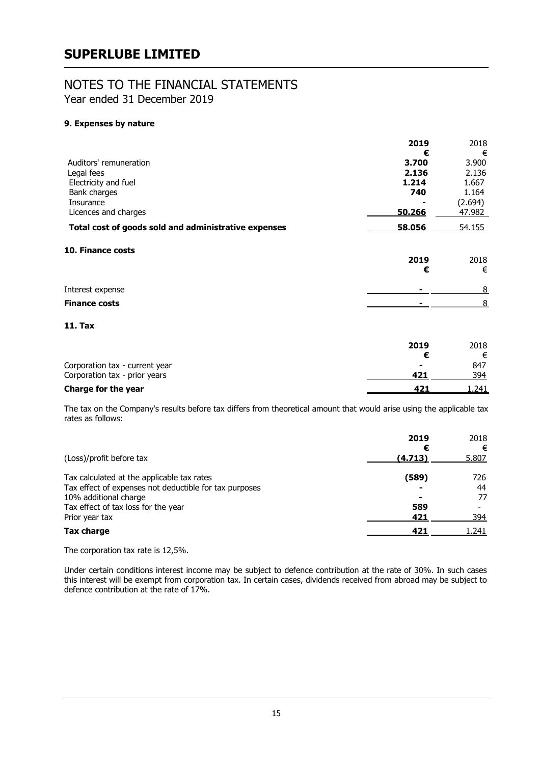### NOTES TO THE FINANCIAL STATEMENTS Year ended 31 December 2019

#### **9. Expenses by nature**

|                                                      | 2019   | 2018         |
|------------------------------------------------------|--------|--------------|
|                                                      | €      | €            |
| Auditors' remuneration                               | 3.700  | 3.900        |
| Legal fees                                           | 2.136  | 2.136        |
| Electricity and fuel                                 | 1.214  | 1.667        |
| Bank charges                                         | 740    | 1.164        |
| Insurance                                            |        | (2.694)      |
| Licences and charges                                 | 50.266 | 47.982       |
| Total cost of goods sold and administrative expenses | 58.056 | 54.155       |
| 10. Finance costs                                    |        |              |
|                                                      | 2019   | 2018         |
|                                                      | €      | €            |
| Interest expense                                     |        | 8            |
| <b>Finance costs</b>                                 |        | 8            |
| <b>11. Tax</b>                                       |        |              |
|                                                      | 2019   | 2018         |
|                                                      | €      | €            |
| Corporation tax - current year                       |        | 847          |
| Corporation tax - prior years                        | 421    | 394          |
| Charge for the year                                  | 421    | <u>1.241</u> |

The tax on the Company's results before tax differs from theoretical amount that would arise using the applicable tax rates as follows:

| (Loss)/profit before tax                                                                                                      | 2019<br>€<br>(4.713)    | 2018<br>€<br><u>5.807</u> |
|-------------------------------------------------------------------------------------------------------------------------------|-------------------------|---------------------------|
| Tax calculated at the applicable tax rates<br>Tax effect of expenses not deductible for tax purposes<br>10% additional charge | (589)<br>$\blacksquare$ | 726<br>44<br>77           |
| Tax effect of tax loss for the year<br>Prior year tax<br>Tax charge                                                           | 589<br>421<br>421       | 394<br>1.241              |

The corporation tax rate is 12,5%.

Under certain conditions interest income may be subject to defence contribution at the rate of 30%. In such cases this interest will be exempt from corporation tax. In certain cases, dividends received from abroad may be subject to defence contribution at the rate of 17%.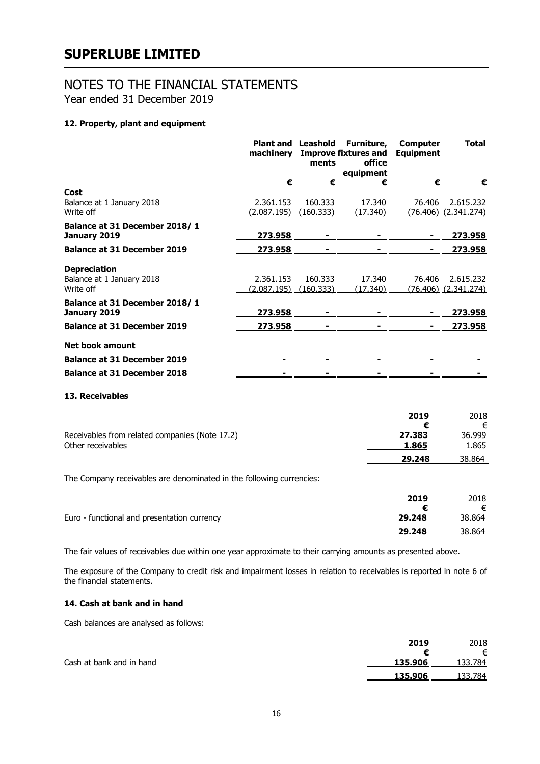## NOTES TO THE FINANCIAL STATEMENTS

Year ended 31 December 2019

#### **12. Property, plant and equipment**

|                                                               | machinery                | <b>Plant and Leashold</b><br>ments | Furniture,<br><b>Improve fixtures and</b><br>office<br>equipment | <b>Computer</b><br><b>Equipment</b> | Total                                    |
|---------------------------------------------------------------|--------------------------|------------------------------------|------------------------------------------------------------------|-------------------------------------|------------------------------------------|
|                                                               | €                        | €                                  | €                                                                | €                                   | €                                        |
| Cost<br>Balance at 1 January 2018                             | 2.361.153                | 160.333                            | 17.340                                                           | 76.406                              | 2.615.232                                |
| Write off                                                     | (2.087.195)              | (160.333)                          | (17.340)                                                         |                                     | <u>(76.406) (2.341.274)</u>              |
| Balance at 31 December 2018/1<br>January 2019                 | 273.958                  |                                    |                                                                  | ۰                                   | 273.958                                  |
| <b>Balance at 31 December 2019</b>                            | 273.958                  |                                    |                                                                  |                                     | 273.958                                  |
| <b>Depreciation</b><br>Balance at 1 January 2018<br>Write off | 2.361.153<br>(2.087.195) | 160.333<br>(160.333)               | 17.340<br>(17.340)                                               | 76.406                              | 2.615.232<br><u>(76.406) (2.341.274)</u> |
| Balance at 31 December 2018/1<br>January 2019                 | 273.958                  |                                    |                                                                  | $\blacksquare$                      | 273.958                                  |
| <b>Balance at 31 December 2019</b>                            | 273.958                  |                                    |                                                                  |                                     | 273.958                                  |
| <b>Net book amount</b>                                        |                          |                                    |                                                                  |                                     |                                          |
| <b>Balance at 31 December 2019</b>                            |                          |                                    |                                                                  |                                     |                                          |
| <b>Balance at 31 December 2018</b>                            |                          |                                    |                                                                  |                                     |                                          |

#### **13. Receivables**

|                                                | 2019   | 2018   |
|------------------------------------------------|--------|--------|
|                                                |        |        |
| Receivables from related companies (Note 17.2) | 27.383 | 36.999 |
| Other receivables                              | 1.865  | 1.865  |
|                                                | 29.248 | 38.864 |

The Company receivables are denominated in the following currencies:

|                                             | 2019   | 2018   |
|---------------------------------------------|--------|--------|
|                                             |        | €      |
| Euro - functional and presentation currency | 29.248 | 38.864 |
|                                             | 29.248 | 38.864 |

The fair values of receivables due within one year approximate to their carrying amounts as presented above.

The exposure of the Company to credit risk and impairment losses in relation to receivables is reported in note 6 of the financial statements.

#### **14. Cash at bank and in hand**

Cash balances are analysed as follows:

|                          | 2019    | 2018    |
|--------------------------|---------|---------|
|                          |         | €       |
| Cash at bank and in hand | 135.906 | 133.784 |
|                          | 135.906 | 133.784 |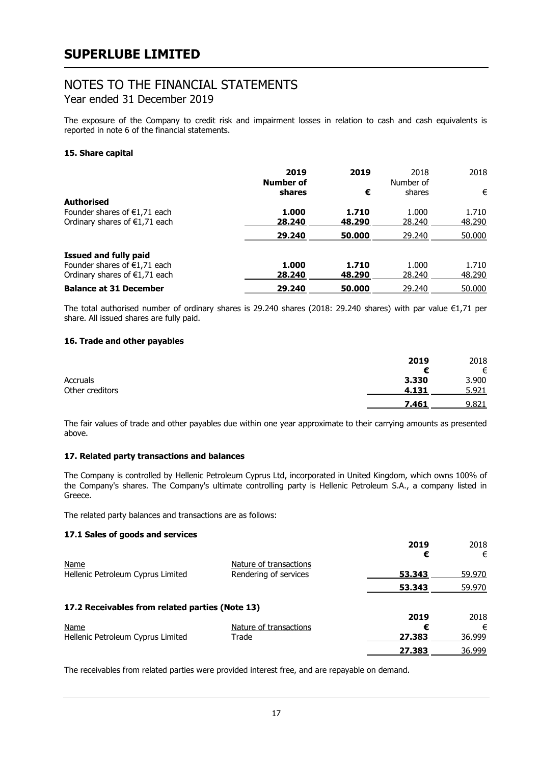### NOTES TO THE FINANCIAL STATEMENTS Year ended 31 December 2019

The exposure of the Company to credit risk and impairment losses in relation to cash and cash equivalents is reported in note 6 of the financial statements.

#### **15. Share capital**

|                                                                   | 2019<br>Number of<br>shares | 2019<br>€       | 2018<br>Number of<br>shares | 2018<br>€       |
|-------------------------------------------------------------------|-----------------------------|-----------------|-----------------------------|-----------------|
| Authorised                                                        |                             |                 |                             |                 |
| Founder shares of $E1,71$ each<br>Ordinary shares of $E1,71$ each | 1.000<br>28.240             | 1.710<br>48.290 | 1.000<br>28.240             | 1.710<br>48.290 |
|                                                                   | 29.240                      | 50,000          | 29.240                      | 50.000          |
| <b>Issued and fully paid</b>                                      |                             |                 |                             |                 |
| Founder shares of $\epsilon$ 1,71 each                            | 1.000                       | 1.710           | 1.000                       | 1.710           |
| Ordinary shares of $E1,71$ each                                   | 28.240                      | 48.290          | 28.240                      | 48.290          |
| <b>Balance at 31 December</b>                                     | 29.240                      | 50,000          | 29.240                      | 50,000          |

The total authorised number of ordinary shares is 29.240 shares (2018: 29.240 shares) with par value €1,71 per share. All issued shares are fully paid.

#### **16. Trade and other payables**

|                 | 2019  | 2018  |
|-----------------|-------|-------|
|                 | €     | €     |
| Accruals        | 3.330 | 3.900 |
| Other creditors | 4.131 | 5.921 |
|                 | 7.461 | 9.821 |

The fair values of trade and other payables due within one year approximate to their carrying amounts as presented above.

#### **17. Related party transactions and balances**

The Company is controlled by Hellenic Petroleum Cyprus Ltd, incorporated in United Kingdom, which owns 100% of the Company's shares. The Company's ultimate controlling party is Hellenic Petroleum S.A., a company listed in Greece.

The related party balances and transactions are as follows:

#### **17.1 Sales of goods and services**

|                                                 |                        | 2019   | 2018   |
|-------------------------------------------------|------------------------|--------|--------|
|                                                 |                        | €      | €      |
| Name                                            | Nature of transactions |        |        |
| Hellenic Petroleum Cyprus Limited               | Rendering of services  | 53,343 | 59.970 |
|                                                 |                        | 53,343 | 59,970 |
| 17.2 Receivables from related parties (Note 13) |                        |        |        |
|                                                 |                        | 2019   | 2018   |
| Name                                            | Nature of transactions | €      | €      |
| Hellenic Petroleum Cyprus Limited               | Trade                  | 27.383 | 36.999 |
|                                                 |                        | 27.383 | 36.999 |
|                                                 |                        |        |        |

The receivables from related parties were provided interest free, and are repayable on demand.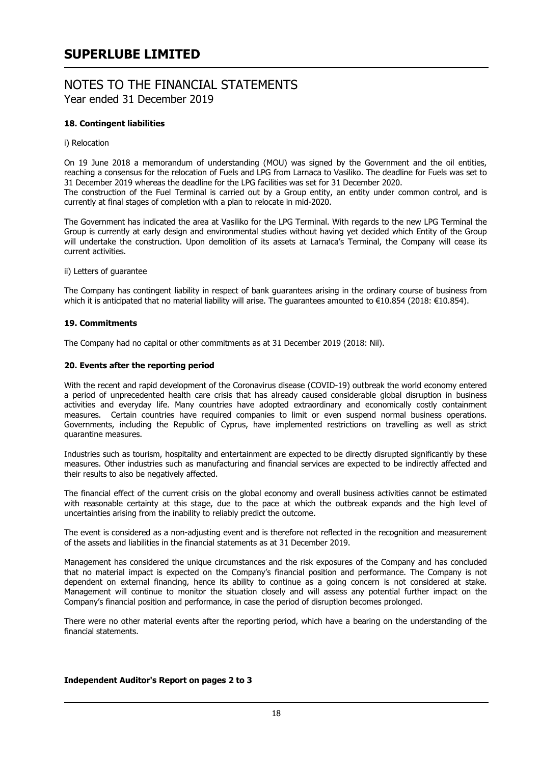### NOTES TO THE FINANCIAL STATEMENTS Year ended 31 December 2019

#### **18. Contingent liabilities**

#### i) Relocation

On 19 June 2018 a memorandum of understanding (MOU) was signed by the Government and the oil entities, reaching a consensus for the relocation of Fuels and LPG from Larnaca to Vasiliko. The deadline for Fuels was set to 31 December 2019 whereas the deadline for the LPG facilities was set for 31 December 2020. The construction of the Fuel Terminal is carried out by a Group entity, an entity under common control, and is currently at final stages of completion with a plan to relocate in mid-2020.

The Government has indicated the area at Vasiliko for the LPG Terminal. With regards to the new LPG Terminal the Group is currently at early design and environmental studies without having yet decided which Entity of the Group will undertake the construction. Upon demolition of its assets at Larnaca's Terminal, the Company will cease its current activities.

ii) Letters of guarantee

The Company has contingent liability in respect of bank guarantees arising in the ordinary course of business from which it is anticipated that no material liability will arise. The guarantees amounted to €10.854 (2018: €10.854).

#### **19. Commitments**

The Company had no capital or other commitments as at 31 December 2019 (2018: Nil).

#### **20. Events after the reporting period**

With the recent and rapid development of the Coronavirus disease (COVID-19) outbreak the world economy entered a period of unprecedented health care crisis that has already caused considerable global disruption in business activities and everyday life. Many countries have adopted extraordinary and economically costly containment measures. Certain countries have required companies to limit or even suspend normal business operations. Governments, including the Republic of Cyprus, have implemented restrictions on travelling as well as strict quarantine measures.

Industries such as tourism, hospitality and entertainment are expected to be directly disrupted significantly by these measures. Other industries such as manufacturing and financial services are expected to be indirectly affected and their results to also be negatively affected.

The financial effect of the current crisis on the global economy and overall business activities cannot be estimated with reasonable certainty at this stage, due to the pace at which the outbreak expands and the high level of uncertainties arising from the inability to reliably predict the outcome.

The event is considered as a non-adjusting event and is therefore not reflected in the recognition and measurement of the assets and liabilities in the financial statements as at 31 December 2019.

Management has considered the unique circumstances and the risk exposures of the Company and has concluded that no material impact is expected on the Company's financial position and performance. The Company is not dependent on external financing, hence its ability to continue as a going concern is not considered at stake. Management will continue to monitor the situation closely and will assess any potential further impact on the Company's financial position and performance, in case the period of disruption becomes prolonged.

There were no other material events after the reporting period, which have a bearing on the understanding of the financial statements.

### **Independent Auditor's Report on pages 2 to 3**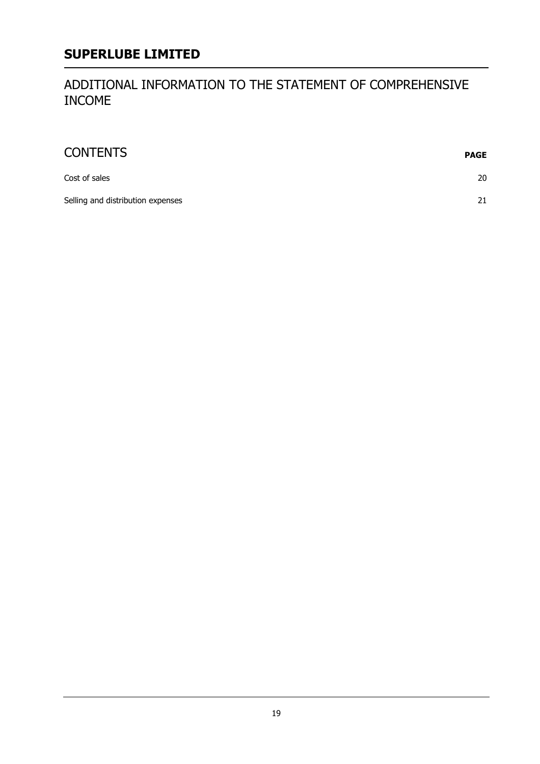## ADDITIONAL INFORMATION TO THE STATEMENT OF COMPREHENSIVE INCOME

| <b>CONTENTS</b>                   | <b>PAGE</b> |
|-----------------------------------|-------------|
| Cost of sales                     | 20          |
| Selling and distribution expenses | 21          |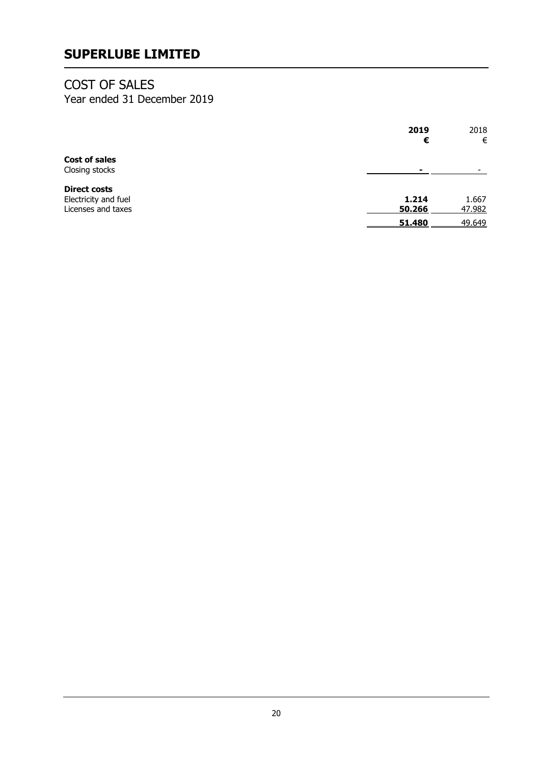### COST OF SALES Year ended 31 December 2019

|                                            | 2019<br>€                | 2018<br>€       |
|--------------------------------------------|--------------------------|-----------------|
| <b>Cost of sales</b><br>Closing stocks     | $\overline{\phantom{a}}$ |                 |
| <b>Direct costs</b>                        |                          |                 |
| Electricity and fuel<br>Licenses and taxes | 1.214<br>50.266          | 1.667<br>47.982 |
|                                            | 51,480                   | 49.649          |